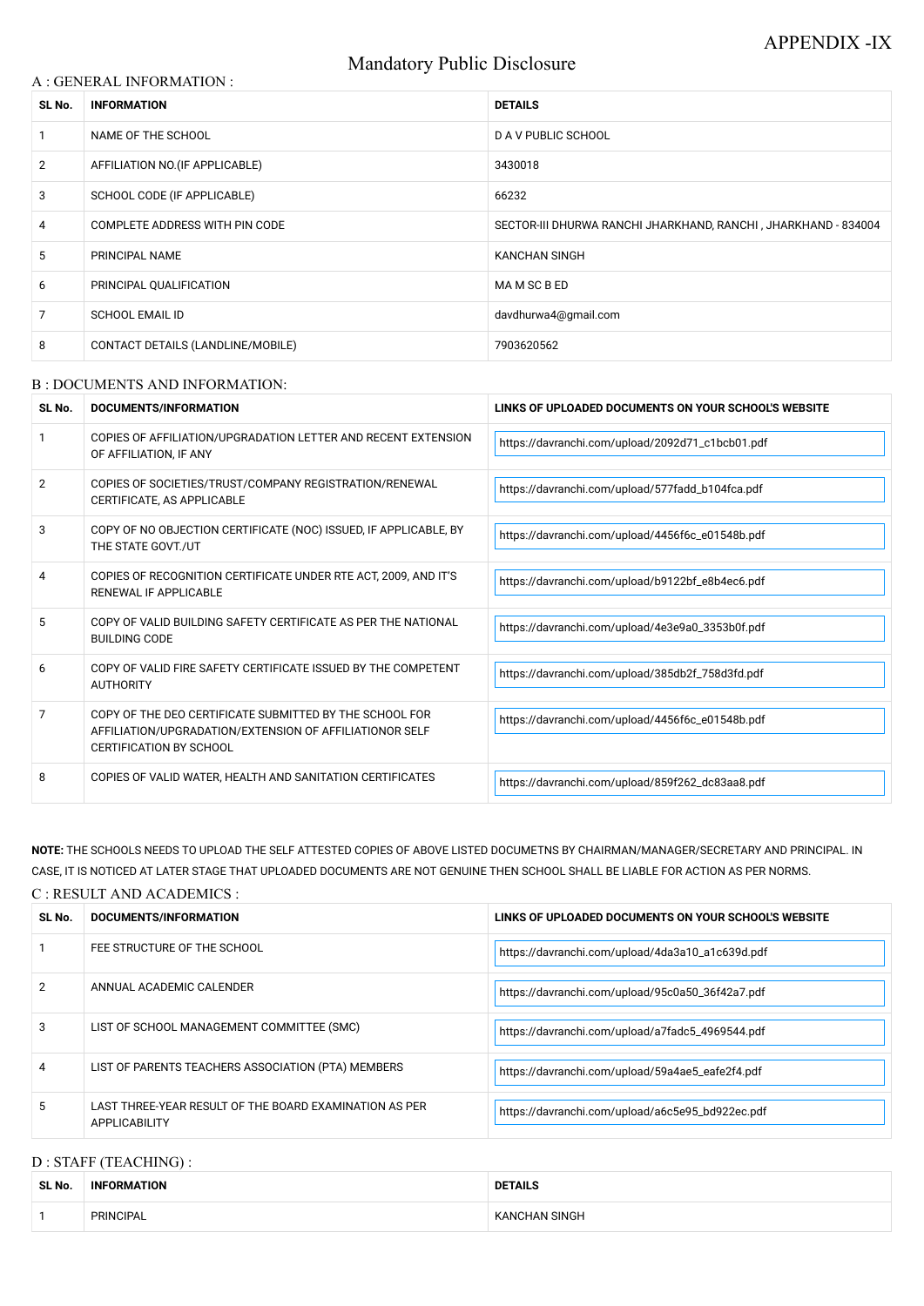# Mandatory Public Disclosure

### A : GENERAL INFORMATION :

| SL No.         | <b>INFORMATION</b>                | <b>DETAILS</b>                                                 |  |
|----------------|-----------------------------------|----------------------------------------------------------------|--|
|                | NAME OF THE SCHOOL                | D A V PUBLIC SCHOOL                                            |  |
| $\overline{2}$ | AFFILIATION NO. (IF APPLICABLE)   | 3430018                                                        |  |
| 3              | SCHOOL CODE (IF APPLICABLE)       | 66232                                                          |  |
| 4              | COMPLETE ADDRESS WITH PIN CODE    | SECTOR-III DHURWA RANCHI JHARKHAND, RANCHI, JHARKHAND - 834004 |  |
| 5              | PRINCIPAL NAME                    | <b>KANCHAN SINGH</b>                                           |  |
| 6              | PRINCIPAL QUALIFICATION           | MA M SC B ED                                                   |  |
| 7              | <b>SCHOOL EMAIL ID</b>            | davdhurwa4@gmail.com                                           |  |
| 8              | CONTACT DETAILS (LANDLINE/MOBILE) | 7903620562                                                     |  |

#### B : DOCUMENTS AND INFORMATION:

| SL No. | <b>DOCUMENTS/INFORMATION</b>                                                                                                                         | LINKS OF UPLOADED DOCUMENTS ON YOUR SCHOOL'S WEBSITE |
|--------|------------------------------------------------------------------------------------------------------------------------------------------------------|------------------------------------------------------|
|        | COPIES OF AFFILIATION/UPGRADATION LETTER AND RECENT EXTENSION<br>OF AFFILIATION, IF ANY                                                              | https://davranchi.com/upload/2092d71_c1bcb01.pdf     |
| 2      | COPIES OF SOCIETIES/TRUST/COMPANY REGISTRATION/RENEWAL<br>CERTIFICATE, AS APPLICABLE                                                                 | https://davranchi.com/upload/577fadd_b104fca.pdf     |
| 3      | COPY OF NO OBJECTION CERTIFICATE (NOC) ISSUED, IF APPLICABLE, BY<br>THE STATE GOVT./UT                                                               | https://davranchi.com/upload/4456f6c_e01548b.pdf     |
| 4      | COPIES OF RECOGNITION CERTIFICATE UNDER RTE ACT, 2009, AND IT'S<br>RENEWAL IF APPLICABLE                                                             | https://davranchi.com/upload/b9122bf_e8b4ec6.pdf     |
| 5      | COPY OF VALID BUILDING SAFETY CERTIFICATE AS PER THE NATIONAL<br><b>BUILDING CODE</b>                                                                | https://davranchi.com/upload/4e3e9a0_3353b0f.pdf     |
| 6      | COPY OF VALID FIRE SAFETY CERTIFICATE ISSUED BY THE COMPETENT<br><b>AUTHORITY</b>                                                                    | https://davranchi.com/upload/385db2f_758d3fd.pdf     |
| 7      | COPY OF THE DEO CERTIFICATE SUBMITTED BY THE SCHOOL FOR<br>AFFILIATION/UPGRADATION/EXTENSION OF AFFILIATIONOR SELF<br><b>CERTIFICATION BY SCHOOL</b> | https://davranchi.com/upload/4456f6c_e01548b.pdf     |
| 8      | COPIES OF VALID WATER, HEALTH AND SANITATION CERTIFICATES                                                                                            | https://davranchi.com/upload/859f262_dc83aa8.pdf     |

|   | ANNUAL ACADEMIC CALENDER                                                       | https://davranchi.com/upload/95c0a50_36f42a7.pdf |
|---|--------------------------------------------------------------------------------|--------------------------------------------------|
| 3 | LIST OF SCHOOL MANAGEMENT COMMITTEE (SMC)                                      | https://davranchi.com/upload/a7fadc5_4969544.pdf |
| 4 | LIST OF PARENTS TEACHERS ASSOCIATION (PTA) MEMBERS                             | https://davranchi.com/upload/59a4ae5_eafe2f4.pdf |
| 5 | LAST THREE-YEAR RESULT OF THE BOARD EXAMINATION AS PER<br><b>APPLICABILITY</b> | https://davranchi.com/upload/a6c5e95_bd922ec.pdf |

# D : STAFF (TEACHING) :

**NOTE:** THE SCHOOLS NEEDS TO UPLOAD THE SELF ATTESTED COPIES OF ABOVE LISTED DOCUMETNS BY CHAIRMAN/MANAGER/SECRETARY AND PRINCIPAL. IN CASE, IT IS NOTICED AT LATER STAGE THAT UPLOADED DOCUMENTS ARE NOT GENUINE THEN SCHOOL SHALL BE LIABLE FOR ACTION AS PER NORMS.

### C : RESULT AND ACADEMICS :

| SL No. | DOCUMENTS/INFORMATION       | LINKS OF UPLOADED DOCUMENTS ON YOUR SCHOOL'S WEBSITE |  |
|--------|-----------------------------|------------------------------------------------------|--|
|        | FEE STRUCTURE OF THE SCHOOL | https://davranchi.com/upload/4da3a10_a1c639d.pdf     |  |
|        | ANINITAL ACADEMIC CALENIDED |                                                      |  |

| SL No. | ORMATION<br><b>INF</b> | .<br>ור<br><b>IAILS</b> |
|--------|------------------------|-------------------------|
|        | <b>PRINCIPAL</b>       | SINGH                   |